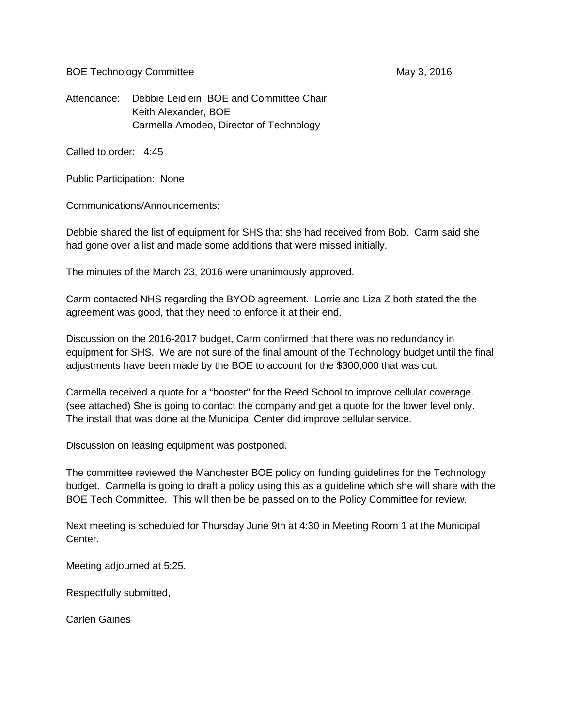BOE Technology Committee May 3, 2016

Attendance: Debbie Leidlein, BOE and Committee Chair Keith Alexander, BOE Carmella Amodeo, Director of Technology

Called to order: 4:45

Public Participation: None

Communications/Announcements:

Debbie shared the list of equipment for SHS that she had received from Bob. Carm said she had gone over a list and made some additions that were missed initially.

The minutes of the March 23, 2016 were unanimously approved.

Carm contacted NHS regarding the BYOD agreement. Lorrie and Liza Z both stated the the agreement was good, that they need to enforce it at their end.

Discussion on the 2016-2017 budget, Carm confirmed that there was no redundancy in equipment for SHS. We are not sure of the final amount of the Technology budget until the final adjustments have been made by the BOE to account for the \$300,000 that was cut.

Carmella received a quote for a "booster" for the Reed School to improve cellular coverage. (see attached) She is going to contact the company and get a quote for the lower level only. The install that was done at the Municipal Center did improve cellular service.

Discussion on leasing equipment was postponed.

The committee reviewed the Manchester BOE policy on funding guidelines for the Technology budget. Carmella is going to draft a policy using this as a guideline which she will share with the BOE Tech Committee. This will then be be passed on to the Policy Committee for review.

Next meeting is scheduled for Thursday June 9th at 4:30 in Meeting Room 1 at the Municipal Center.

Meeting adjourned at 5:25.

Respectfully submitted,

Carlen Gaines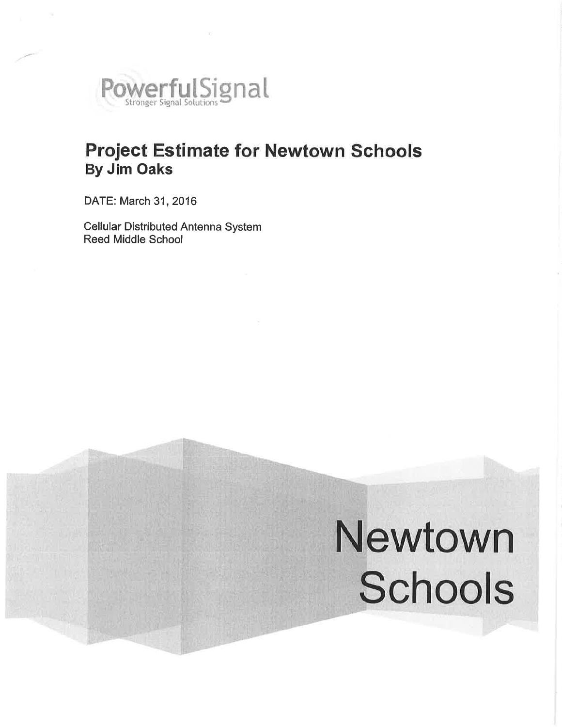

## **Project Estimate for Newtown Schools By Jim Oaks**

DATE: March 31, 2016

**Cellular Distributed Antenna System Reed Middle School** 

# Newtown Schools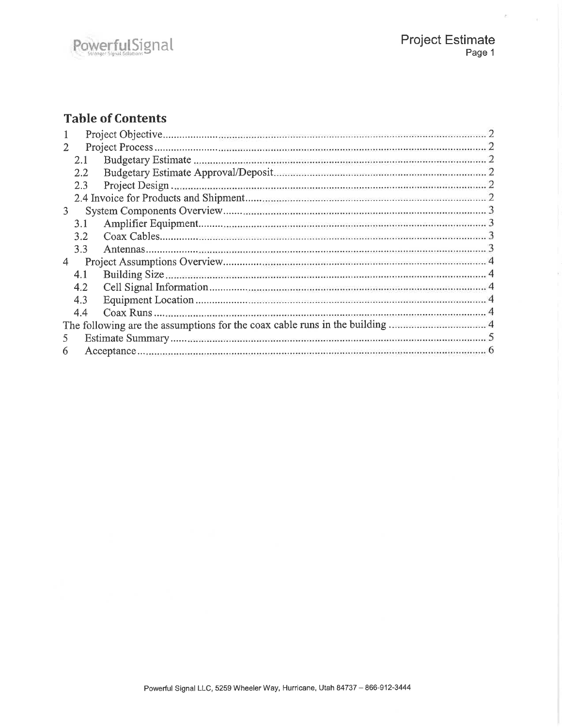$\epsilon$  ,  $\epsilon$ 

## **Table of Contents**

|    | 2.1 |  |  |
|----|-----|--|--|
|    | 2.2 |  |  |
|    | 2.3 |  |  |
|    |     |  |  |
| 3  |     |  |  |
|    | 3.1 |  |  |
|    | 3.2 |  |  |
|    | 3.3 |  |  |
| 4  |     |  |  |
|    | 4.1 |  |  |
|    | 4.2 |  |  |
|    | 4.3 |  |  |
|    | 4.4 |  |  |
|    |     |  |  |
| 5. |     |  |  |
|    |     |  |  |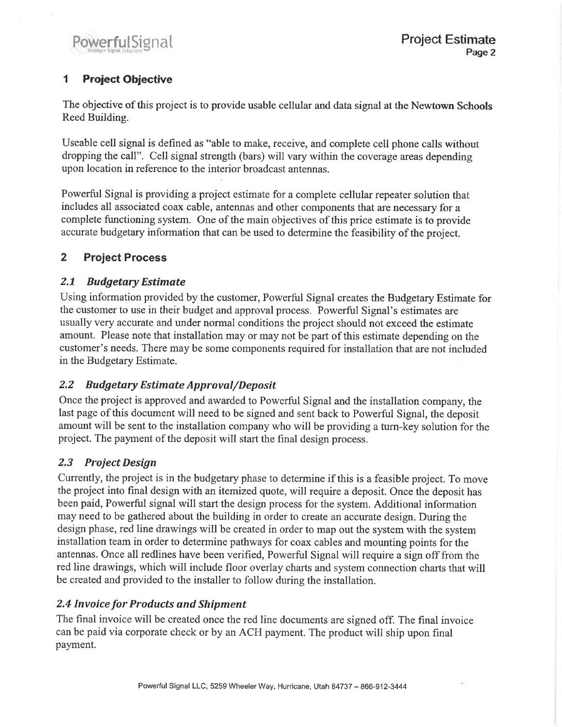## $\blacktriangleleft$ **Project Objective**

The objective of this project is to provide usable cellular and data signal at the Newtown Schools Reed Building.

Useable cell signal is defined as "able to make, receive, and complete cell phone calls without dropping the call". Cell signal strength (bars) will vary within the coverage areas depending upon location in reference to the interior broadcast antennas.

Powerful Signal is providing a project estimate for a complete cellular repeater solution that includes all associated coax cable, antennas and other components that are necessary for a complete functioning system. One of the main objectives of this price estimate is to provide accurate budgetary information that can be used to determine the feasibility of the project.

### $\overline{2}$ **Project Process**

#### $2.1$ **Budgetary Estimate**

Using information provided by the customer, Powerful Signal creates the Budgetary Estimate for the customer to use in their budget and approval process. Powerful Signal's estimates are usually very accurate and under normal conditions the project should not exceed the estimate amount. Please note that installation may or may not be part of this estimate depending on the customer's needs. There may be some components required for installation that are not included in the Budgetary Estimate.

#### $2.2$ **Budgetary Estimate Approval/Deposit**

Once the project is approved and awarded to Powerful Signal and the installation company, the last page of this document will need to be signed and sent back to Powerful Signal, the deposit amount will be sent to the installation company who will be providing a turn-key solution for the project. The payment of the deposit will start the final design process.

## 2.3 Project Design

Currently, the project is in the budgetary phase to determine if this is a feasible project. To move the project into final design with an itemized quote, will require a deposit. Once the deposit has been paid, Powerful signal will start the design process for the system. Additional information may need to be gathered about the building in order to create an accurate design. During the design phase, red line drawings will be created in order to map out the system with the system installation team in order to determine pathways for coax cables and mounting points for the antennas. Once all redlines have been verified, Powerful Signal will require a sign off from the red line drawings, which will include floor overlay charts and system connection charts that will be created and provided to the installer to follow during the installation.

## **2.4 Invoice for Products and Shipment**

The final invoice will be created once the red line documents are signed off. The final invoice can be paid via corporate check or by an ACH payment. The product will ship upon final payment.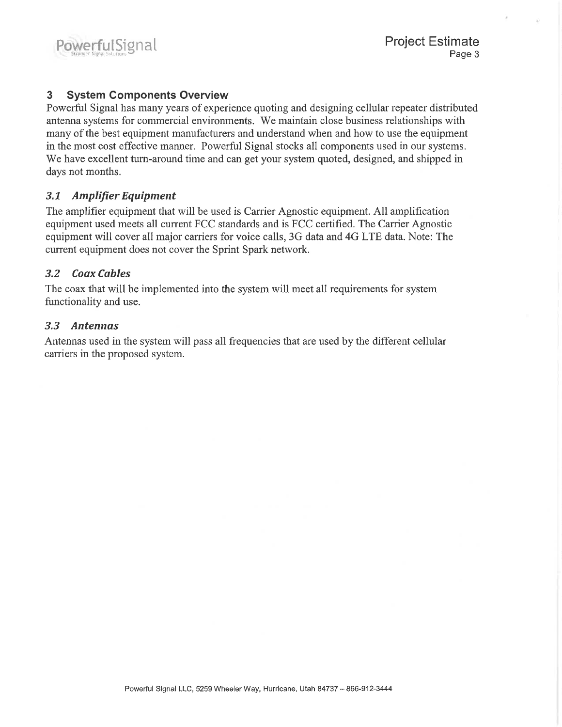#### **System Components Overview** 3

Powerful Signal has many years of experience quoting and designing cellular repeater distributed antenna systems for commercial environments. We maintain close business relationships with many of the best equipment manufacturers and understand when and how to use the equipment in the most cost effective manner. Powerful Signal stocks all components used in our systems. We have excellent turn-around time and can get your system quoted, designed, and shipped in days not months.

#### $3.1$ **Amplifier Equipment**

The amplifier equipment that will be used is Carrier Agnostic equipment. All amplification equipment used meets all current FCC standards and is FCC certified. The Carrier Agnostic equipment will cover all major carriers for voice calls, 3G data and 4G LTE data. Note: The current equipment does not cover the Sprint Spark network.

#### $3.2$ **Coax Cables**

The coax that will be implemented into the system will meet all requirements for system functionality and use.

## 3.3 Antennas

Antennas used in the system will pass all frequencies that are used by the different cellular carriers in the proposed system.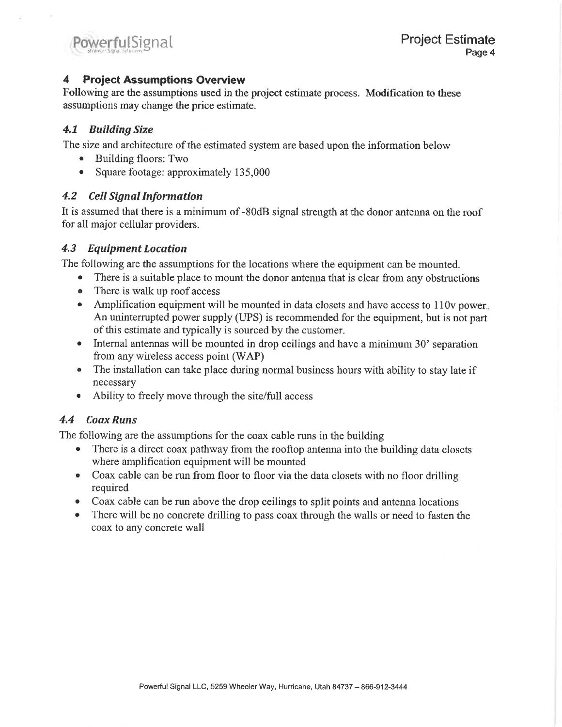#### **Project Assumptions Overview** 4

Following are the assumptions used in the project estimate process. Modification to these assumptions may change the price estimate.

## 4.1 Building Size

The size and architecture of the estimated system are based upon the information below

- $\bullet$ Building floors: Two
- Square footage: approximately 135,000  $\bullet$

## 4.2 Cell Signal Information

It is assumed that there is a minimum of -80dB signal strength at the donor antenna on the roof for all major cellular providers.

## 4.3 Equipment Location

The following are the assumptions for the locations where the equipment can be mounted.

- $\bullet$ There is a suitable place to mount the donor antenna that is clear from any obstructions
- There is walk up roof access
- Amplification equipment will be mounted in data closets and have access to 110y nower. An uninterrupted power supply (UPS) is recommended for the equipment, but is not part of this estimate and typically is sourced by the customer.
- Internal antennas will be mounted in drop ceilings and have a minimum 30' separation from any wireless access point (WAP)
- The installation can take place during normal business hours with ability to stay late if necessary
- Ability to freely move through the site/full access

## 4.4 Coax Runs

The following are the assumptions for the coax cable runs in the building

- There is a direct coax pathway from the rooftop antenna into the building data closets where amplification equipment will be mounted
- Coax cable can be run from floor to floor via the data closets with no floor drilling required
- Coax cable can be run above the drop ceilings to split points and antenna locations
- There will be no concrete drilling to pass coax through the walls or need to fasten the  $\bullet$ coax to any concrete wall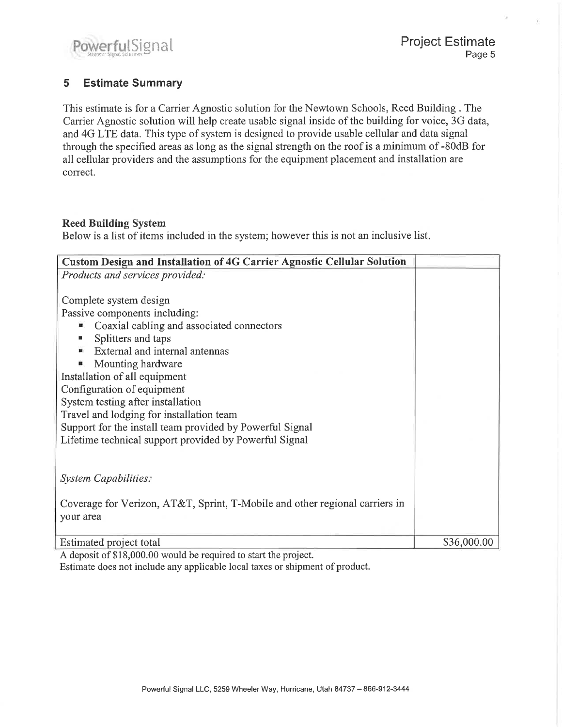#### **Estimate Summary** 5

This estimate is for a Carrier Agnostic solution for the Newtown Schools, Reed Building. The Carrier Agnostic solution will help create usable signal inside of the building for voice, 3G data, and 4G LTE data. This type of system is designed to provide usable cellular and data signal through the specified areas as long as the signal strength on the roof is a minimum of -80dB for all cellular providers and the assumptions for the equipment placement and installation are correct.

## **Reed Building System**

Below is a list of items included in the system; however this is not an inclusive list.

| <b>Custom Design and Installation of 4G Carrier Agnostic Cellular Solution</b> |             |  |  |  |
|--------------------------------------------------------------------------------|-------------|--|--|--|
| Products and services provided:                                                |             |  |  |  |
|                                                                                |             |  |  |  |
| Complete system design                                                         |             |  |  |  |
| Passive components including:                                                  |             |  |  |  |
| Coaxial cabling and associated connectors<br>ш                                 |             |  |  |  |
| Splitters and taps                                                             |             |  |  |  |
| External and internal antennas                                                 |             |  |  |  |
| Mounting hardware                                                              |             |  |  |  |
| Installation of all equipment                                                  |             |  |  |  |
| Configuration of equipment                                                     |             |  |  |  |
| System testing after installation                                              |             |  |  |  |
| Travel and lodging for installation team                                       |             |  |  |  |
| Support for the install team provided by Powerful Signal                       |             |  |  |  |
| Lifetime technical support provided by Powerful Signal                         |             |  |  |  |
|                                                                                |             |  |  |  |
|                                                                                |             |  |  |  |
| <b>System Capabilities:</b>                                                    |             |  |  |  |
|                                                                                |             |  |  |  |
| Coverage for Verizon, AT&T, Sprint, T-Mobile and other regional carriers in    |             |  |  |  |
| your area                                                                      |             |  |  |  |
|                                                                                |             |  |  |  |
| Estimated project total                                                        | \$36,000.00 |  |  |  |

A deposit of \$18,000.00 would be required to start the project. Estimate does not include any applicable local taxes or shipment of product.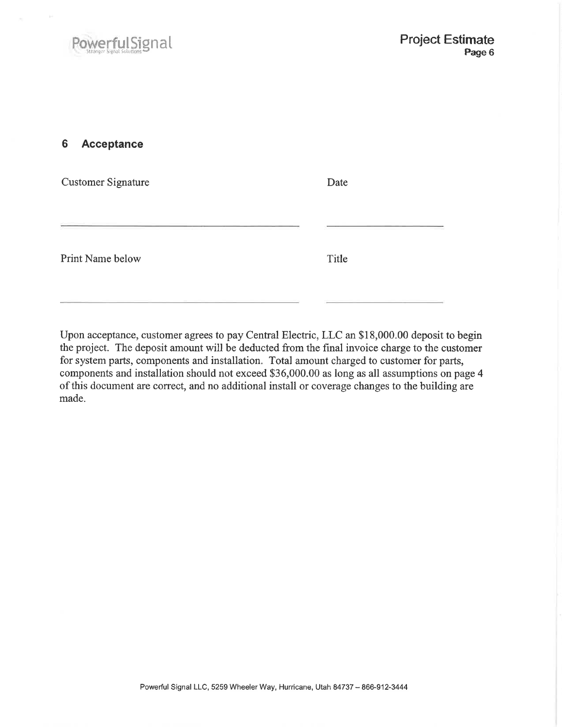#### 6 Acceptance

| <b>Customer Signature</b> | Date  |
|---------------------------|-------|
|                           |       |
| Print Name below          | Title |

Upon acceptance, customer agrees to pay Central Electric, LLC an \$18,000.00 deposit to begin the project. The deposit amount will be deducted from the final invoice charge to the customer for system parts, components and installation. Total amount charged to customer for parts, components and installation should not exceed \$36,000.00 as long as all assumptions on page 4 of this document are correct, and no additional install or coverage changes to the building are made.